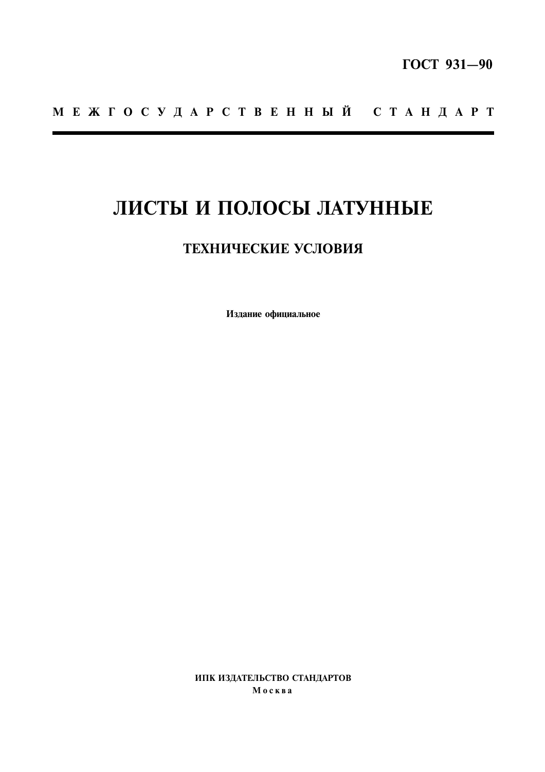## MEXTOCY ДАРСТВЕННЫЙ СТАНДАРТ

# ЛИСТЫ И ПОЛОСЫ ЛАТУННЫЕ

### ТЕХНИЧЕСКИЕ УСЛОВИЯ

Издание официальное

ИПК ИЗДАТЕЛЬСТВО СТАНДАРТОВ Москва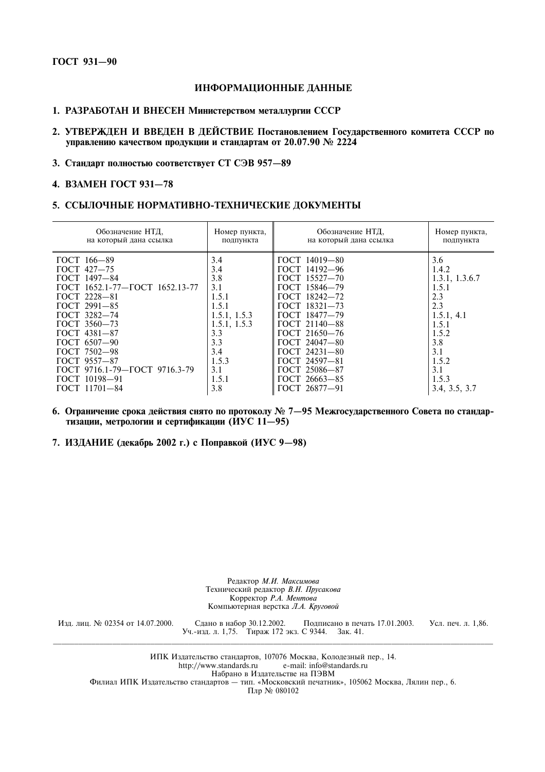#### ИНФОРМАЦИОННЫЕ ДАННЫЕ

#### 1. РАЗРАБОТАН И ВНЕСЕН Министерством металлургии СССР

- 2. УТВЕРЖДЕН И ВВЕДЕН В ДЕЙСТВИЕ Постановлением Государственного комитета СССР по управлению качеством продукции и стандартам от 20.07.90 № 2224
- 3. Стандарт полностью соответствует СТ СЭВ 957-89

#### 4. ВЗАМЕН ГОСТ 931-78

#### 5. ССЫЛОЧНЫЕ НОРМАТИВНО-ТЕХНИЧЕСКИЕ ДОКУМЕНТЫ

| Обозначение НТД,               | Номер пункта, | Обозначение НТД,       | Номер пункта,  |
|--------------------------------|---------------|------------------------|----------------|
| на который дана ссылка         | подпункта     | на который дана ссылка | подпункта      |
| ГОСТ 166-89                    | 3.4           | ГОСТ 14019-80          | 3.6            |
| $\Gamma$ OCT 427-75            | 3.4           | ГОСТ 14192-96          | 1.4.2          |
| ГОСТ 1497-84                   | 3.8           | ГОСТ 15527-70          | 1.3.1, 1.3.6.7 |
| ГОСТ 1652.1-77-ГОСТ 1652.13-77 | 3.1           | ГОСТ 15846-79          | 1.5.1          |
| <b>FOCT 2228-81</b>            | 1.5.1         | ГОСТ 18242-72          | 2.3            |
| ГОСТ 2991-85                   | 1.5.1         | ГОСТ 18321-73          | 2.3            |
| <b>FOCT 3282-74</b>            | 1.5.1, 1.5.3  | ГОСТ 18477-79          | 1.5.1, 4.1     |
| ГОСТ 3560-73                   | 1.5.1, 1.5.3  | ГОСТ 21140-88          | 1.5.1          |
| ГОСТ 4381-87                   | 3.3           | ГОСТ 21650-76          | 1.5.2          |
| ГОСТ 6507-90                   | 3.3           | ГОСТ 24047-80          | 3.8            |
| ГОСТ 7502-98                   | 3.4           | ГОСТ 24231-80          | 3.1            |
| ГОСТ 9557-87                   | 1.5.3         | ГОСТ 24597-81          | 1.5.2          |
| ГОСТ 9716.1-79-ГОСТ 9716.3-79  | 3.1           | ГОСТ 25086-87          | 3.1            |
| ГОСТ 10198-91                  | 1.5.1         | ГОСТ 26663-85          | 1.5.3          |
| $TOCT$ 11701-84                | 3.8           | ГОСТ 26877-91          | 3.4, 3.5, 3.7  |

- 6. Ограничение срока действия снято по протоколу № 7-95 Межгосударственного Совета по стандартизации, метрологии и сертификации (ИУС 11-95)
- 7. ИЗДАНИЕ (декабрь 2002 г.) с Поправкой (ИУС 9-98)

Редактор М.И. Максимова Технический редактор В.Н. Прусакова Корректор Р.А. Ментова Компьютерная верстка Л.А. Круговой

Изд. лиц. № 02354 от 14.07.2000.

Сдано в набор 30.12.2002. Подписано в печ<br>Уч.-изд. л. 1,75. Тираж 172 экз. С 9344. Зак. 41. Подписано в печать 17.01.2003. Усл. печ. л. 1,86.

ИПК Издательство стандартов, 107076 Москва, Колодезный пер., 14. http://www.standards.ru e-mail: info@standards.ru Набрано в Издательстве на ПЭВМ Филиал ИПК Издательство стандартов - тип. «Московский печатник», 105062 Москва, Лялин пер., 6. Плр № 080102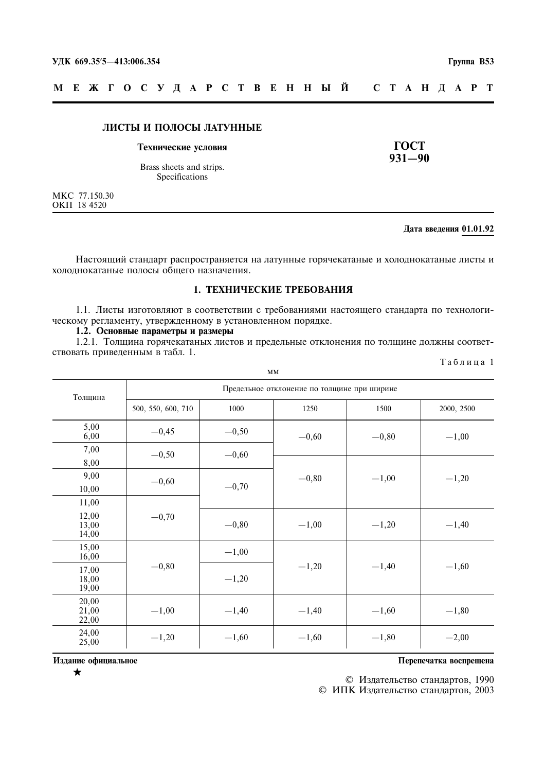#### МЕЖГОСУДАРСТВЕННЫЙ C T A H *I* A P T

#### ЛИСТЫ И ПОЛОСЫ ЛАТУННЫЕ

#### Технические условия

Brass sheets and strips. Specifications

МКС 77.150.30<br>ОКП 18 4520

#### Лата ввеления 01.01.92

**TOCT** 

 $931 - 90$ 

Настоящий стандарт распространяется на латунные горячекатаные и холоднокатаные листы и холоднокатаные полосы общего назначения.

#### 1. ТЕХНИЧЕСКИЕ ТРЕБОВАНИЯ

1.1. Листы изготовляют в соответствии с требованиями настоящего стандарта по технологическому регламенту, утвержденному в установленном порядке.

#### 1.2. Основные параметры и размеры

1.2.1. Толщина горячекатаных листов и предельные отклонения по толщине должны соответствовать приведенным в табл. 1. Таблица 1

| MM                      |                                             |         |         |         |            |  |
|-------------------------|---------------------------------------------|---------|---------|---------|------------|--|
| Толщина                 | Предельное отклонение по толщине при ширине |         |         |         |            |  |
|                         | 500, 550, 600, 710                          | 1000    | 1250    | 1500    | 2000, 2500 |  |
| 5,00<br>6,00            | $-0,45$                                     | $-0,50$ | $-0,60$ | $-0,80$ | $-1,00$    |  |
| 7,00<br>8,00            | $-0,50$                                     | $-0,60$ |         |         |            |  |
| 9,00<br>10,00           | $-0,60$                                     | $-0,70$ | $-0,80$ | $-1,00$ | $-1,20$    |  |
| 11,00                   |                                             |         |         |         |            |  |
| 12,00<br>13,00<br>14,00 | $-0,70$                                     | $-0,80$ | $-1,00$ | $-1,20$ | $-1,40$    |  |
| 15,00<br>16,00          |                                             | $-1,00$ |         |         |            |  |
| 17,00<br>18,00<br>19,00 | $-0,80$                                     | $-1,20$ | $-1,20$ | $-1,40$ | $-1,60$    |  |
| 20,00<br>21,00<br>22,00 | $-1,00$                                     | $-1,40$ | $-1,40$ | $-1,60$ | $-1,80$    |  |
| 24,00<br>25,00          | $-1,20$                                     | $-1,60$ | $-1,60$ | $-1,80$ | $-2,00$    |  |

Издание официальное

 $\bigstar$ 

Перепечатка воспрещена

© Издательство стандартов, 1990

© ИПК Издательство стандартов, 2003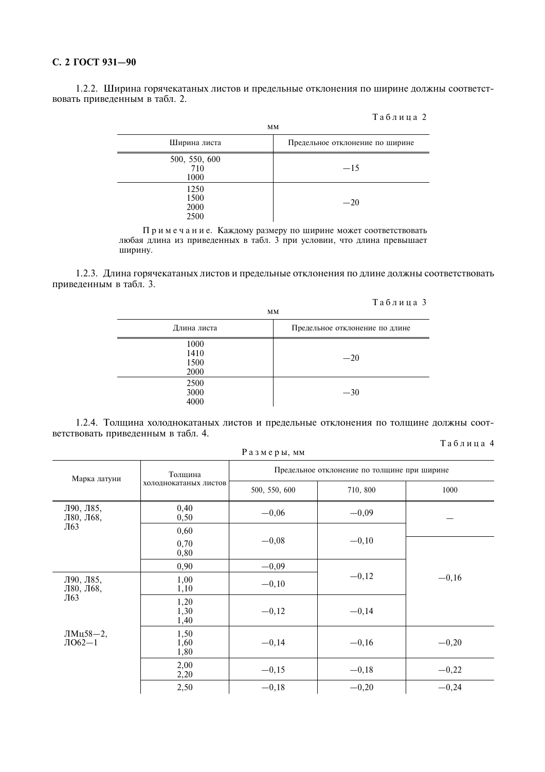#### С. 2 ГОСТ 931-90

1.2.2. Ширина горячекатаных листов и предельные отклонения по ширине должны соответствовать приведенным в табл. 2.

|                              | <b>MM</b>                       |
|------------------------------|---------------------------------|
| Ширина листа                 | Предельное отклонение по ширине |
| 500, 550, 600<br>710<br>1000 | $-15$                           |
| 1250<br>1500<br>2000<br>2500 | $-20$                           |

Примечание. Каждому размеру по ширине может соответствовать любая длина из приведенных в табл. 3 при условии, что длина превышает ширину.

1.2.3. Длина горячекатаных листов и предельные отклонения по длине должны соответствовать приведенным в табл. 3.

| Таблица 3 |  |  |  |  |  |  |  |
|-----------|--|--|--|--|--|--|--|
|-----------|--|--|--|--|--|--|--|

Таблина 2

| 1 и 0 л п ц и р<br><b>MM</b> |                                |  |  |
|------------------------------|--------------------------------|--|--|
| Длина листа                  | Предельное отклонение по длине |  |  |
| 1000<br>1410<br>1500<br>2000 | $-20$                          |  |  |
| 2500<br>3000<br>4000         | $-30$                          |  |  |

1.2.4. Толщина холоднокатаных листов и предельные отклонения по толщине должны соответствовать приведенным в табл. 4.

#### Таблица 4

|                        | Размеры, мм           |                                             |          |         |  |  |
|------------------------|-----------------------|---------------------------------------------|----------|---------|--|--|
| Марка латуни           | Толщина               | Предельное отклонение по толщине при ширине |          |         |  |  |
|                        | холоднокатаных листов | 500, 550, 600                               | 710, 800 | 1000    |  |  |
| Л90, Л85,<br>Л80, Л68, | 0,40<br>0,50          | $-0,06$                                     | $-0,09$  |         |  |  |
| Л63                    | 0,60<br>0,70<br>0,80  | $-0,08$                                     | $-0,10$  |         |  |  |
|                        | 0,90                  | $-0,09$                                     |          |         |  |  |
| Л90, Л85,<br>Л80, Л68, | 1,00<br>1,10          | $-0,10$                                     | $-0,12$  | $-0,16$ |  |  |
| Л63                    | 1,20<br>1,30<br>1,40  | $-0,12$                                     | $-0,14$  |         |  |  |
| ЛМц58—2,<br>$IO62-1$   | 1,50<br>1,60<br>1,80  | $-0,14$                                     | $-0,16$  | $-0,20$ |  |  |
|                        | 2,00<br>2,20          | $-0,15$                                     | $-0,18$  | $-0,22$ |  |  |
|                        | 2,50                  | $-0,18$                                     | $-0,20$  | $-0,24$ |  |  |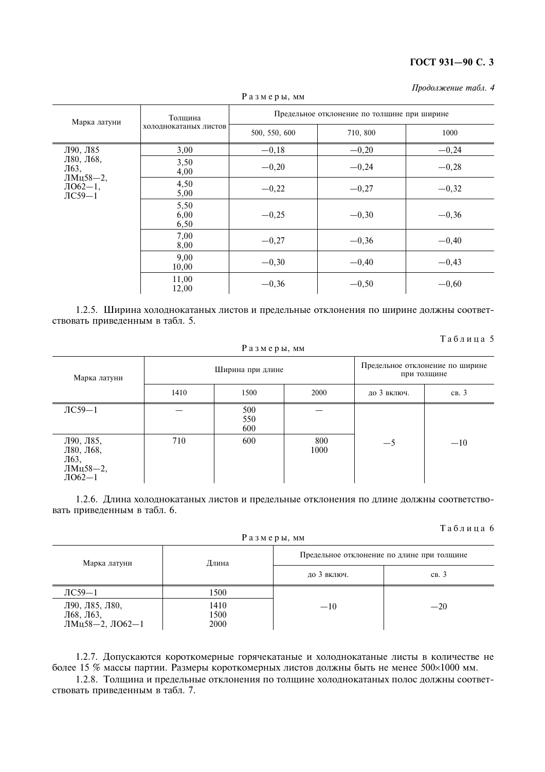| Продолжение табл. 4 |  |  |
|---------------------|--|--|
|---------------------|--|--|

| таэм сры, мм                        |                       |                                             |          |         |  |  |
|-------------------------------------|-----------------------|---------------------------------------------|----------|---------|--|--|
| Марка латуни                        | Толщина               | Предельное отклонение по толщине при ширине |          |         |  |  |
|                                     | холоднокатаных листов | 500, 550, 600                               | 710, 800 | 1000    |  |  |
| Л90, Л85                            | 3,00                  | $-0,18$                                     | $-0,20$  | $-0,24$ |  |  |
| Л80, Л68,<br>Л63,<br>ЛМц58-2,       | 3,50<br>4,00          | $-0,20$                                     | $-0,24$  | $-0,28$ |  |  |
| $\text{IO}62-1,$<br>$\text{IC59}-1$ | 4,50<br>5,00          | $-0,22$                                     | $-0,27$  | $-0,32$ |  |  |
|                                     | 5,50<br>6,00<br>6,50  | $-0,25$                                     | $-0,30$  | $-0,36$ |  |  |
|                                     | 7,00<br>8,00          | $-0,27$                                     | $-0,36$  | $-0,40$ |  |  |
|                                     | 9,00<br>10,00         | $-0,30$                                     | $-0,40$  | $-0,43$ |  |  |
|                                     | 11,00<br>12,00        | $-0,36$                                     | $-0,50$  | $-0,60$ |  |  |

 $P_3$  3 Men H MM

1.2.5. Ширина холоднокатаных листов и предельные отклонения по ширине должны соответствовать приведенным в табл. 5.

#### Таблица 5

| Размеры, мм                                            |                  |                   |             |                                                |       |  |
|--------------------------------------------------------|------------------|-------------------|-------------|------------------------------------------------|-------|--|
| Марка латуни                                           | Ширина при длине |                   |             | Предельное отклонение по ширине<br>при толщине |       |  |
|                                                        | 1410             | 1500              | 2000        | до 3 включ.                                    | CB.3  |  |
| $\text{IC}59-1$                                        |                  | 500<br>550<br>600 |             |                                                |       |  |
| Л90, Л85,<br>Л80, Л68,<br>Л63,<br>ЛМц58-2,<br>$IO62-1$ | 710              | 600               | 800<br>1000 | $-5$                                           | $-10$ |  |

1.2.6. Длина холоднокатаных листов и предельные отклонения по длине должны соответствовать приведенным в табл. 6.

#### Таблина 6

|                                                |                      | Размеры, мм                                | пи олици о |  |
|------------------------------------------------|----------------------|--------------------------------------------|------------|--|
| Марка латуни                                   | Длина                | Предельное отклонение по длине при толщине |            |  |
|                                                |                      | до 3 включ.                                | св. 3      |  |
| $\text{JIC}59-1$                               | 1500                 |                                            |            |  |
| Л90, Л85, Л80,<br>Л68, Л63,<br>ЛМц58-2, ЛО62-1 | 1410<br>1500<br>2000 | $-10$                                      | $-20$      |  |

1.2.7. Допускаются короткомерные горячекатаные и холоднокатаные листы в количестве не более 15 % массы партии. Размеры короткомерных листов должны быть не менее 500×1000 мм.

1.2.8. Толщина и предельные отклонения по толщине холоднокатаных полос должны соответствовать приведенным в табл. 7.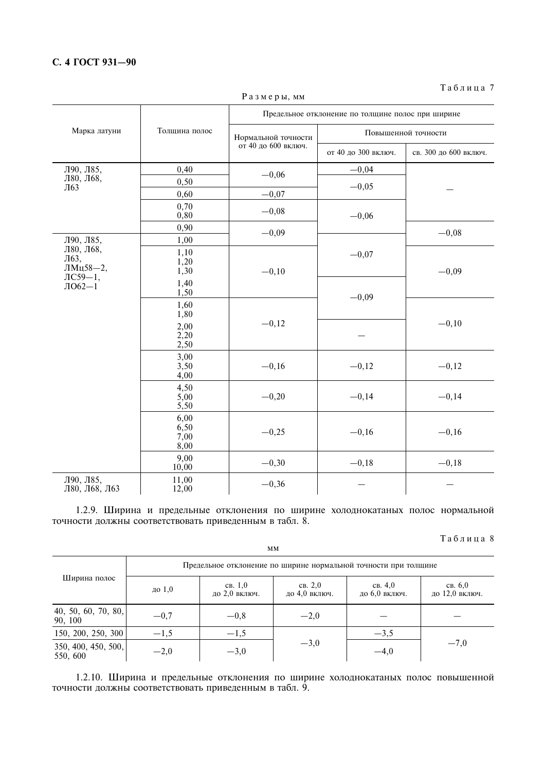#### С. 4 ГОСТ 931-90

|                                  |                              | Предельное отклонение по толщине полос при ширине |                     |                       |  |
|----------------------------------|------------------------------|---------------------------------------------------|---------------------|-----------------------|--|
| Марка латуни                     | Толщина полос                | Нормальной точности                               | Повышенной точности |                       |  |
|                                  |                              | от 40 до 600 включ.                               | от 40 до 300 включ. | св. 300 до 600 включ. |  |
| Л90, Л85,                        | 0,40                         | $-0,06$                                           | $-0,04$             |                       |  |
| Л80, Л68,                        | 0,50                         |                                                   | $-0,05$             |                       |  |
| Л63                              | 0,60                         | $-0,07$                                           |                     |                       |  |
|                                  | 0,70<br>0,80                 | $-0,08$                                           | $-0,06$             |                       |  |
|                                  | 0,90                         | $-0,09$                                           |                     | $-0,08$               |  |
| Л90, Л85,                        | 1,00                         |                                                   |                     |                       |  |
| Л80, Л68,<br>Л63,<br>ЛМц58-2,    | 1,10<br>1,20<br>1,30         | $-0,10$                                           | $-0,07$             | $-0,09$               |  |
| $\text{JIC59}-1,$<br>$J1062 - 1$ | 1,40<br>1,50                 |                                                   | $-0,09$             |                       |  |
|                                  | 1,60<br>1,80                 |                                                   |                     |                       |  |
|                                  | 2,00<br>2,20<br>2,50         | $-0,12$                                           |                     | $-0,10$               |  |
|                                  | 3,00<br>3,50<br>4,00         | $-0,16$                                           | $-0,12$             | $-0,12$               |  |
|                                  | 4,50<br>5,00<br>5,50         | $-0,20$                                           | $-0,14$             | $-0,14$               |  |
|                                  | 6,00<br>6,50<br>7,00<br>8,00 | $-0,25$                                           | $-0,16$             | $-0,16$               |  |
|                                  | 9,00<br>10,00                | $-0,30$                                           | $-0,18$             | $-0,18$               |  |
| Л90, Л85,<br>Л80, Л68, Л63       | 11,00<br>12,00               | $-0,36$                                           |                     |                       |  |

Размеры, мм

Таблица 7

1.2.9. Ширина и предельные отклонения по ширине холоднокатаных полос нормальной точности должны соответствовать приведенным в табл. 8.

 $MM$ 

Таблица 8

|                                                                | Предельное отклонение по ширине нормальной точности при толщине |                          |                          |                          |                           |  |  |
|----------------------------------------------------------------|-----------------------------------------------------------------|--------------------------|--------------------------|--------------------------|---------------------------|--|--|
| Ширина полос                                                   | до $1,0$                                                        | CB. 1.0<br>до 2,0 включ. | CB. 2.0<br>до 4,0 включ. | CB. 4.0<br>до 6,0 включ. | CB. 6.0<br>до 12,0 включ. |  |  |
| $\begin{bmatrix} 40, 50, 60, 70, 80, \\ 90, 100 \end{bmatrix}$ | $-0,7$                                                          | $-0,8$                   | $-2,0$                   |                          |                           |  |  |
| 150, 200, 250, 300                                             | $-1,5$                                                          | $-1,5$                   |                          | $-3,5$                   |                           |  |  |
| 350, 400, 450, 500,<br>550, 600                                | $-2,0$                                                          | $-3,0$                   | $-3,0$                   | $-4,0$                   | $-7,0$                    |  |  |

1.2.10. Ширина и предельные отклонения по ширине холоднокатаных полос повышенной точности должны соответствовать приведенным в табл. 9.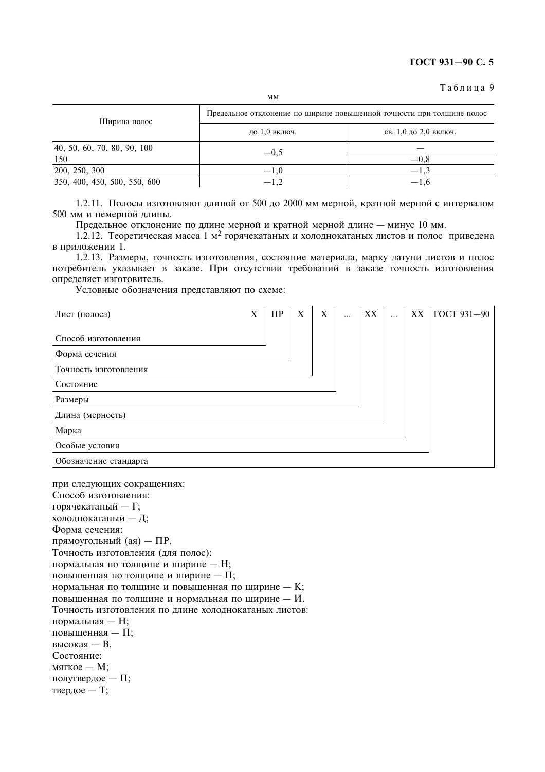#### Таблица 9

| Ширина полос                 | Предельное отклонение по ширине повышенной точности при толщине полос |                       |  |  |  |
|------------------------------|-----------------------------------------------------------------------|-----------------------|--|--|--|
|                              | до 1,0 включ.                                                         | св. 1,0 до 2,0 включ. |  |  |  |
| 40, 50, 60, 70, 80, 90, 100  | $-0.5$                                                                |                       |  |  |  |
| 150                          |                                                                       | $-0.8$                |  |  |  |
| 200, 250, 300                | $-1.0$                                                                | $-1.3$                |  |  |  |
| 350, 400, 450, 500, 550, 600 |                                                                       | $-1.6$                |  |  |  |

1.2.11. Полосы изготовляют длиной от 500 до 2000 мм мерной, кратной мерной с интервалом 500 мм и немерной длины.

Предельное отклонение по длине мерной и кратной мерной длине - минус 10 мм.

1.2.12. Теоретическая масса 1 м<sup>2</sup> горячекатаных и холоднокатаных листов и полос приведена в приложении 1.

1.2.13. Размеры, точность изготовления, состояние материала, марку латуни листов и полос потребитель указывает в заказе. При отсутствии требований в заказе точность изготовления определяет изготовитель.

Условные обозначения представляют по схеме:

| Лист (полоса)         | X | $\Pi$ P | X | X | $\ddots$ | XX | $\ddotsc$ | XX | ГОСТ 931-90 |
|-----------------------|---|---------|---|---|----------|----|-----------|----|-------------|
| Способ изготовления   |   |         |   |   |          |    |           |    |             |
| Форма сечения         |   |         |   |   |          |    |           |    |             |
| Точность изготовления |   |         |   |   |          |    |           |    |             |
| Состояние             |   |         |   |   |          |    |           |    |             |
| Размеры               |   |         |   |   |          |    |           |    |             |
| Длина (мерность)      |   |         |   |   |          |    |           |    |             |
| Марка                 |   |         |   |   |          |    |           |    |             |
| Особые условия        |   |         |   |   |          |    |           |    |             |
| Обозначение стандарта |   |         |   |   |          |    |           |    |             |

при следующих сокращениях: Способ изготовления: горячекатаный — Г; холоднокатаный - Д; Форма сечения: прямоугольный (ая) - ПР. Точность изготовления (для полос): нормальная по толщине и ширине - Н; повышенная по толщине и ширине - П; нормальная по толщине и повышенная по ширине - К; повышенная по толщине и нормальная по ширине - И. Точность изготовления по длине холоднокатаных листов: нормальная - Н; повышенная - П; высокая - В. Состояние: мягкое - М; полутвердое - П; твердое - T;

 $MM$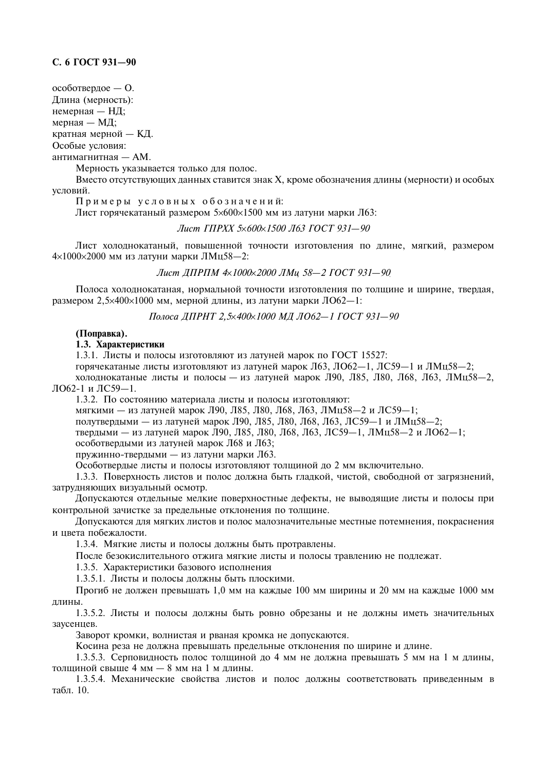#### С. 6 ГОСТ 931-90

особотвердое — О. Длина (мерность): немерная - НД;

мерная — МД;

кратная мерной - КД.

Особые условия:

антимагнитная - AM.

Мерность указывается только для полос.

Вместо отсутствующих данных ставится знак Х, кроме обозначения длины (мерности) и особых условий.

Примеры условных обозначений:

Лист горячекатаный размером 5×600×1500 мм из латуни марки Л63:

#### Лист ГПРХХ 5×600×1500 Л63 ГОСТ 931-90

Лист холоднокатаный, повышенной точности изготовления по длине, мягкий, размером  $4\times1000\times2000$  мм из латуни марки ЛМц58-2:

Лист ДПРПМ 4×1000×2000 ЛМц 58-2 ГОСТ 931-90

Полоса холоднокатаная, нормальной точности изготовления по толщине и ширине, твердая, размером 2,5×400×1000 мм, мерной длины, из латуни марки ЛО62-1:

Полоса ЛПРНТ 2.5×400×1000 МЛ ЛО62-1 ГОСТ 931-90

#### (Поправка).

#### 1.3. Характеристики

1.3.1. Листы и полосы изготовляют из латуней марок по ГОСТ 15527:

горячекатаные листы изготовляют из латуней марок Л63, ЛО62-1, ЛС59-1 и ЛМц58-2;

холоднокатаные листы и полосы - из латуней марок Л90, Л85, Л80, Л68, Л63, ЛМц58-2, ПО62-1 и ПС59-1

1.3.2. По состоянию материала листы и полосы изготовляют:

мягкими - из латуней марок Л90, Л85, Л80, Л68, Л63, ЛМц58-2 и ЛС59-1;

полутвердыми — из латуней марок Л90, Л85, Л80, Л68, Л63, ЛС59-1 и ЛМц58-2;

твердыми — из латуней марок Л90, Л85, Л80, Л68, Л63, ЛС59-1, ЛМц58-2 и ЛО62-1;

особотвердыми из латуней марок Л68 и Л63;

пружинно-твердыми - из латуни марки Л63.

Особотвердые листы и полосы изготовляют толщиной до 2 мм включительно.

1.3.3. Поверхность листов и полос должна быть гладкой, чистой, свободной от загрязнений, затрудняющих визуальный осмотр.

Допускаются отдельные мелкие поверхностные дефекты, не выводящие листы и полосы при контрольной зачистке за предельные отклонения по толщине.

Допускаются для мягких листов и полос малозначительные местные потемнения, покраснения и цвета побежалости.

1.3.4. Мягкие листы и полосы должны быть протравлены.

После безокислительного отжига мягкие листы и полосы травлению не подлежат.

1.3.5. Характеристики базового исполнения

1.3.5.1. Листы и полосы должны быть плоскими.

Прогиб не должен превышать 1.0 мм на каждые 100 мм ширины и 20 мм на каждые 1000 мм длины.

1.3.5.2. Листы и полосы должны быть ровно обрезаны и не должны иметь значительных заусенцев.

Заворот кромки, волнистая и рваная кромка не допускаются.

Косина реза не должна превышать предельные отклонения по ширине и длине.

1.3.5.3. Серповидность полос толщиной до 4 мм не должна превышать 5 мм на 1 м длины, толщиной свыше 4 мм - 8 мм на 1 м длины.

1.3.5.4. Механические свойства листов и полос должны соответствовать приведенным в табл. 10.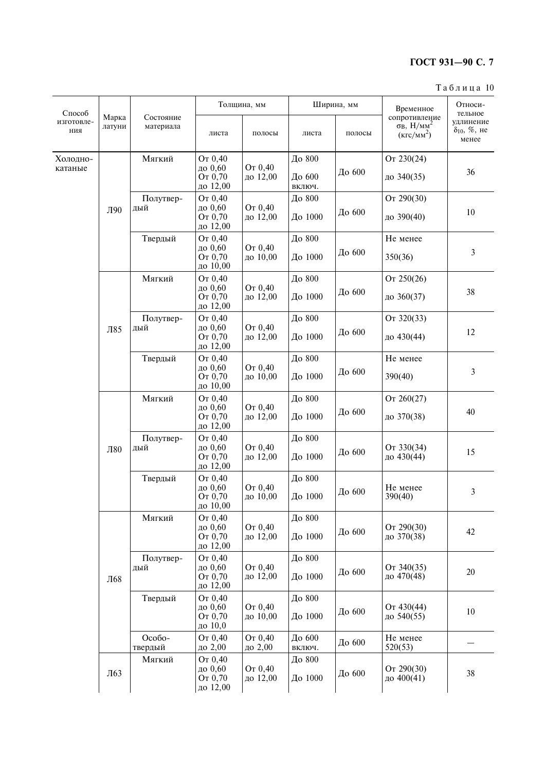#### $T a 6 \pi u$ ца 10

| Способ            | Марка  | Состояние<br>материала | Толщина, мм                                                      |                                         |                  | Ширина, мм | Временное<br>сопротивление            | Относи-<br>тельное                              |
|-------------------|--------|------------------------|------------------------------------------------------------------|-----------------------------------------|------------------|------------|---------------------------------------|-------------------------------------------------|
| изготовле-<br>ния | латуни |                        | листа                                                            | полосы                                  | листа            | полосы     | $\sigma_B$ , $H/MM^2$<br>$(KTC/MM^2)$ | удлинение<br>$\delta_{10}, \, \%$ , не<br>менее |
| Холодно-          |        | Мягкий                 | От 0,40                                                          |                                         | До 800           |            | От 230(24)                            |                                                 |
| катаные           |        |                        | до 0,60<br>От 0,70<br>до 12,00                                   | От 0,40<br>До 600<br>до 12,00<br>ВКЛЮЧ. |                  | До 600     | до 340(35)                            | 36                                              |
|                   |        | Полутвер-              | От 0,40                                                          |                                         | До 800           |            | От 290(30)                            |                                                 |
|                   | Л90    | дый                    | до 0,60<br>От 0,70<br>до 12,00                                   | От 0,40<br>до 12,00                     | До 1000          | До 600     | до 390(40)                            | 10                                              |
|                   |        | Твердый                | От 0,40                                                          |                                         | До 800           |            | Не менее                              |                                                 |
|                   |        |                        | до 0,60<br>От 0,70<br>до 10,00                                   | От 0,40<br>до 10,00                     | До 1000          | До 600     | 350(36)                               | 3                                               |
|                   |        | Мягкий                 | От 0,40                                                          |                                         | До 800           |            | От 250(26)                            |                                                 |
| Л85               |        |                        | до 0,60<br>От 0,70<br>до 12,00                                   | От 0,40<br>до 12,00                     | До 1000          | До 600     | до 360(37)                            | 38                                              |
|                   |        | Полутвер-              | От 0.40                                                          |                                         | До 800           |            | От 320(33)                            |                                                 |
|                   |        | дый                    | до 0,60<br>От 0,70<br>до 12,00                                   | От 0,40<br>до 12,00                     | До 1000          | До 600     | до 430(44)                            | 12                                              |
|                   |        | Твердый                | От 0,40                                                          |                                         | До 800           |            | Не менее                              |                                                 |
|                   |        |                        | до 0,60<br>От 0,70<br>до 10,00                                   | От 0,40<br>до 10,00                     | До 1000          | До 600     | 390(40)                               | 3                                               |
|                   |        | Мягкий                 | От 0,40                                                          |                                         | До 800           |            | OT $260(27)$                          |                                                 |
|                   |        |                        | до 0,60<br>От 0,70<br>до 12,00                                   | От 0,40<br>до 12,00                     | До 1000          | До 600     | до 370(38)                            | 40                                              |
|                   |        | Полутвер-<br>дый       | От 0,40<br>От 0,40<br>до 0,60<br>От 0,70<br>до 12,00<br>до 12,00 | До 800                                  |                  |            |                                       |                                                 |
|                   | Л80    |                        |                                                                  |                                         | До 1000          | До 600     | От 330(34)<br>до 430(44)              | 15                                              |
|                   |        | Твердый                | От 0,40                                                          |                                         | До 800           |            |                                       |                                                 |
|                   |        |                        | до 0,60<br>От 0,70<br>до 10,00                                   | От 0,40<br>до 10,00                     | До 1000          | До 600     | Не менее<br>390(40)                   | 3                                               |
|                   |        | Мягкий                 | От 0,40                                                          |                                         | До 800           |            |                                       |                                                 |
|                   |        |                        | до 0,60<br>От 0,70<br>до 12,00                                   | От 0,40<br>до 12,00                     | До 1000          | До 600     | От 290(30)<br>до 370(38)              | 42                                              |
|                   |        | Полутвер-              | От 0,40                                                          | От 0,40                                 | До 800           |            |                                       |                                                 |
|                   | Л68    | дый                    | до 0,60<br>От 0,70<br>до 12,00                                   | до 12,00                                | До 1000          | До 600     | От 340(35)<br>до 470(48)              | 20                                              |
|                   |        | Твердый                | От 0,40<br>до 0,60                                               | От 0,40                                 | До 800           |            |                                       |                                                 |
|                   |        |                        | От 0,70<br>до 10,0                                               | до 10,00                                | До 1000          | До 600     | От 430(44)<br>до 540(55)              | 10                                              |
|                   |        | Особо-<br>твердый      | От 0,40<br>до 2,00                                               | От 0,40<br>до 2,00                      | До 600           | До 600     | Не менее<br>520(53)                   |                                                 |
|                   |        | Мягкий                 | От 0,40                                                          |                                         | ВКЛЮЧ.<br>До 800 |            |                                       |                                                 |
|                   | Л63    |                        | до 0,60<br>От 0,70<br>до 12,00                                   | От 0,40<br>до 12,00                     | До 1000          | До 600     | От 290(30)<br>до 400(41)              | 38                                              |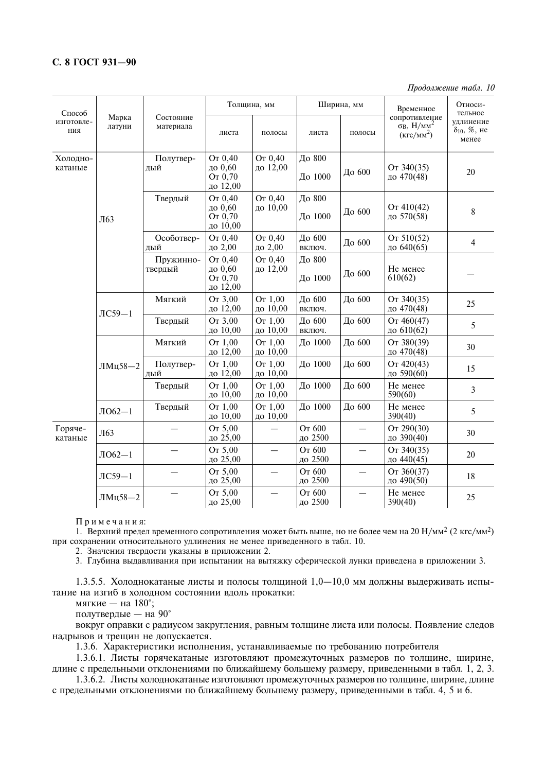Продолжение табл. 10

| Способ              |                 | Состояние<br>материала | Толщина, мм                               |                          |                   | Ширина, мм                       | Временное                                                        | Относи-<br>тельное                          |
|---------------------|-----------------|------------------------|-------------------------------------------|--------------------------|-------------------|----------------------------------|------------------------------------------------------------------|---------------------------------------------|
| изготовле-<br>ния   | Марка<br>латуни |                        | листа                                     | полосы                   | листа             | полосы                           | сопротивление<br>$\sigma_B$ , $H/MM^2$<br>(KFC/MM <sup>2</sup> ) | удлинение<br>$\delta_{10}$ , %, не<br>менее |
| Холодно-<br>катаные |                 | Полутвер-<br>дый       | От 0,40<br>до 0,60<br>От 0,70<br>до 12,00 | От 0,40<br>до 12,00      | До 800<br>До 1000 | До 600                           | От 340(35)<br>до 470(48)                                         | 20                                          |
|                     | Л63             | Твердый                | От 0.40<br>до 0,60<br>OT 0.70<br>до 10,00 | От 0.40<br>до 10,00      | До 800<br>До 1000 | До 600                           | Or 410(42)<br>до 570(58)                                         | 8                                           |
|                     |                 | Особотвер-<br>дый      | От 0,40<br>до 2,00                        | От 0,40<br>до 2,00       | До 600<br>включ.  | До 600                           | Or 510(52)<br>до 640(65)                                         | $\overline{4}$                              |
|                     |                 | Пружинно-<br>твердый   | От 0,40<br>до 0,60<br>От 0,70<br>до 12,00 | От 0,40<br>до 12,00      | До 800<br>До 1000 | До 600                           | Не менее<br>610(62)                                              |                                             |
|                     | $\text{IC}59-1$ | Мягкий                 | OT 3,00<br>до 12,00                       | OT 1,00<br>до 10,00      | До 600<br>включ.  | До 600                           | От 340(35)<br>до 470(48)                                         | 25                                          |
|                     |                 | Твердый                | От 3,00<br>до 10,00                       | OT 1,00<br>до 10,00      | До 600<br>включ.  | До 600                           | Or 460(47)<br>до 610(62)                                         | 5                                           |
|                     | ЛМц58-2         | Мягкий                 | От 1,00<br>до 12,00                       | OT 1,00<br>до 10,00      | До 1000           | До 600                           | От 380(39)<br>до 470(48)                                         | 30                                          |
|                     |                 | Полутвер-<br>дый       | OT 1.00<br>до 12,00                       | OT 1,00<br>до 10,00      | До 1000           | До 600                           | Or 420(43)<br>до 590(60)                                         | 15                                          |
|                     |                 | Твердый                | OT 1.00<br>до 10,00                       | OT 1,00<br>до 10,00      | До 1000           | До 600                           | Не менее<br>590(60)                                              | 3                                           |
|                     | $JIO62-1$       | Твердый                | OT 1,00<br>до 10,00                       | OT 1,00<br>до 10,00      | До 1000           | До 600                           | Не менее<br>390(40)                                              | 5                                           |
| Горяче-<br>катаные  | Л63             |                        | OT 5,00<br>до 25,00                       |                          | От 600<br>до 2500 |                                  | От 290(30)<br>до 390(40)                                         | 30                                          |
|                     | $J1062 - 1$     |                        | OT 5,00<br>до 25,00                       | $\overline{\phantom{0}}$ | От 600<br>до 2500 | $\overbrace{\phantom{12322111}}$ | От 340(35)<br>до 440(45)                                         | 20                                          |
|                     | $\text{IC}59-1$ |                        | OT 5,00<br>до 25,00                       |                          | От 600<br>до 2500 | $\overline{\phantom{0}}$         | От 360(37)<br>до 490(50)                                         | 18                                          |
|                     | ЛМц58-2         |                        | OT 5,00<br>до 25,00                       |                          | От 600<br>до 2500 |                                  | Не менее<br>390(40)                                              | 25                                          |

Примечания:

1. Верхний предел временного сопротивления может быть выше, но не более чем на 20 Н/мм<sup>2</sup> (2 кгс/мм<sup>2</sup>) при сохранении относительного удлинения не менее приведенного в табл. 10.

2. Значения твердости указаны в приложении 2.

3. Глубина выдавливания при испытании на вытяжку сферической лунки приведена в приложении 3.

1.3.5.5. Холоднокатаные листы и полосы толщиной  $1.0-10.0$  мм должны выдерживать испытание на изгиб в холодном состоянии вдоль прокатки:

мягкие - на 180°;

полутвердые — на 90°

вокруг оправки с радиусом закругления, равным толщине листа или полосы. Появление следов надрывов и трещин не допускается.

1.3.6. Характеристики исполнения, устанавливаемые по требованию потребителя

1.3.6.1. Листы горячекатаные изготовляют промежуточных размеров по толщине, ширине, длине с предельными отклонениями по ближайшему большему размеру, приведенными в табл. 1, 2, 3.

1.3.6.2. Листы холоднокатаные изготовляют промежуточных размеров по толщине, ширине, длине с предельными отклонениями по ближайшему большему размеру, приведенными в табл. 4, 5 и 6.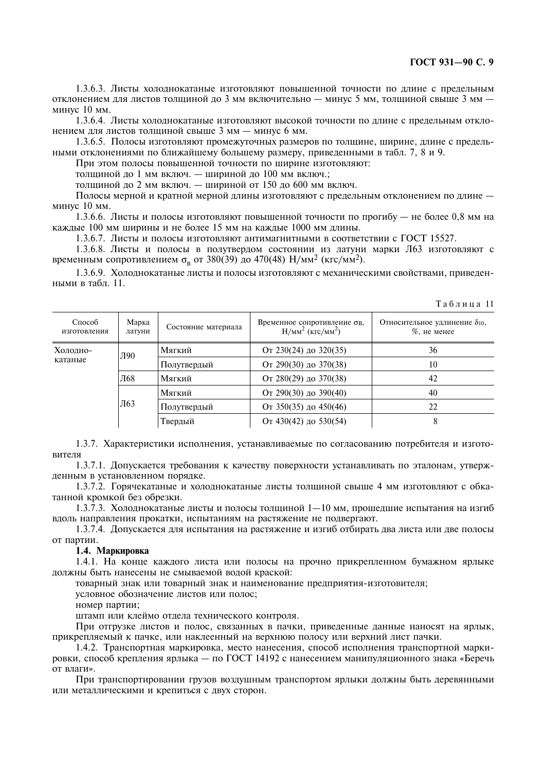1.3.6.3. Листы холоднокатаные изготовляют повышенной точности по длине с предельным отклонением для листов толщиной до 3 мм включительно - минус 5 мм, толщиной свыше 3 мм минус 10 мм.

1.3.6.4. Листы холоднокатаные изготовляют высокой точности по длине с предельным отклонением для листов толщиной свыше 3 мм - минус 6 мм.

1.3.6.5. Полосы изготовляют промежуточных размеров по толщине, ширине, длине с предельными отклонениями по ближайшему большему размеру, приведенными в табл. 7, 8 и 9.

При этом полосы повышенной точности по ширине изготовляют:

толщиной до 1 мм включ. - шириной до 100 мм включ.;

толщиной до 2 мм включ. - шириной от 150 до 600 мм включ.

Полосы мерной и кратной мерной длины изготовляют с предельным отклонением по длине минус 10 мм.

1.3.6.6. Листы и полосы изготовляют повышенной точности по прогибу — не более 0.8 мм на каждые 100 мм ширины и не более 15 мм на каждые 1000 мм длины.

1.3.6.7. Листы и полосы изготовляют антимагнитными в соответствии с ГОСТ 15527.

1.3.6.8. Листы и полосы в полутвердом состоянии из латуни марки Л63 изготовляют с временным сопротивлением  $\sigma_{\rm B}$  от 380(39) до 470(48) Н/мм<sup>2</sup> (кгс/мм<sup>2</sup>).

1.3.6.9. Холоднокатаные листы и полосы изготовляют с механическими свойствами, приведенными в табл. 11.

#### Таблина 11

| Способ<br>изготовления | Марка<br>латуни | Состояние материала | Временное сопротивление ов.<br>$H/MM2$ (KFC/MM <sup>2</sup> ) | Относительное удлинение $\delta_{10}$ ,<br>$%$ , не менее |
|------------------------|-----------------|---------------------|---------------------------------------------------------------|-----------------------------------------------------------|
| Холодно-               | Л90             | Мягкий              | От 230(24) до 320(35)                                         | 36                                                        |
| катаные                |                 | Полутвердый         | От 290(30) до 370(38)                                         | 10                                                        |
|                        | Л68             | Мягкий              | От 280(29) до 370(38)                                         | 42                                                        |
|                        | Л63             | Мягкий              | От 290(30) до 390(40)                                         | 40                                                        |
|                        |                 | Полутвердый         | От 350(35) до 450(46)                                         | 22                                                        |
|                        |                 | Твердый             | От 430(42) до 530(54)                                         | 8                                                         |

1.3.7. Характеристики исполнения, устанавливаемые по согласованию потребителя и изготовителя

1.3.7.1. Допускается требования к качеству поверхности устанавливать по эталонам, утвержденным в установленном порядке.

1.3.7.2. Горячекатаные и холоднокатаные листы толщиной свыше 4 мм изготовляют с обкатанной кромкой без обрезки.

1.3.7.3. Холоднокатаные листы и полосы толщиной  $1-10$  мм, прошедшие испытания на изгиб вдоль направления прокатки, испытаниям на растяжение не подвергают.

1.3.7.4. Допускается для испытания на растяжение и изгиб отбирать два листа или две полосы от партии.

#### 1.4. Маркировка

1.4.1. На конце каждого листа или полосы на прочно прикрепленном бумажном ярлыке должны быть нанесены не смываемой водой краской:

товарный знак или товарный знак и наименование предприятия-изготовителя;

условное обозначение листов или полос;

номер партии:

штамп или клеймо отдела технического контроля.

При отгрузке листов и полос, связанных в пачки, приведенные данные наносят на ярлык, прикрепляемый к пачке, или наклеенный на верхнюю полосу или верхний лист пачки.

1.4.2. Транспортная маркировка, место нанесения, способ исполнения транспортной маркировки, способ крепления ярлыка - по ГОСТ 14192 с нанесением манипуляционного знака «Беречь от влаги».

При транспортировании грузов воздушным транспортом ярлыки должны быть деревянными или металлическими и крепиться с двух сторон.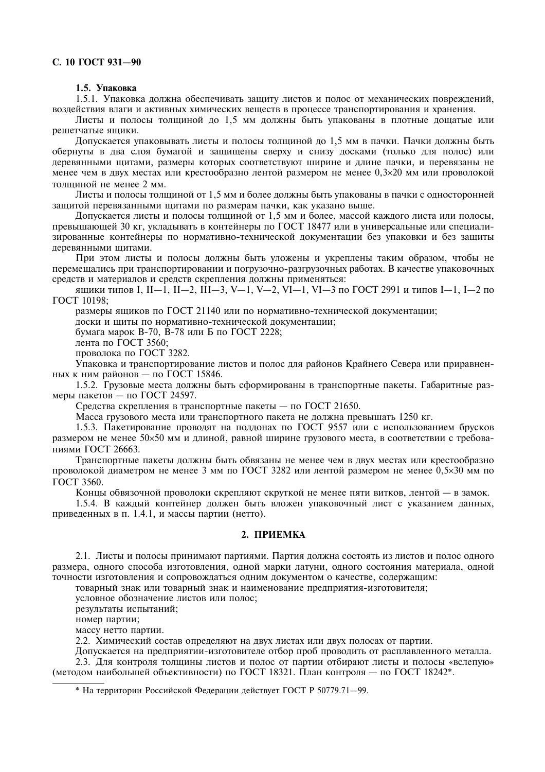#### С. 10 ГОСТ 931-90

#### 1.5. Упаковка

1.5.1. Упаковка должна обеспечивать зашиту листов и полос от механических повреждений. воздействия влаги и активных химических веществ в процессе транспортирования и хранения.

Листы и полосы толщиной до 1,5 мм должны быть упакованы в плотные дошатые или решетчатые ящики.

Допускается упаковывать листы и полосы толщиной до 1,5 мм в пачки. Пачки должны быть обернуты в два слоя бумагой и защищены сверху и снизу досками (только для полос) или деревянными щитами, размеры которых соответствуют ширине и длине пачки, и перевязаны не менее чем в двух местах или крестообразно лентой размером не менее 0,3 $\times$ 20 мм или проволокой толщиной не менее 2 мм.

Листы и полосы толщиной от 1,5 мм и более должны быть упакованы в пачки с односторонней защитой перевязанными щитами по размерам пачки, как указано выше.

Допускается листы и полосы толщиной от 1,5 мм и более, массой каждого листа или полосы, превышающей 30 кг, укладывать в контейнеры по ГОСТ 18477 или в универсальные или специализированные контейнеры по нормативно-технической локументации без упаковки и без защиты деревянными шитами.

При этом листы и полосы должны быть уложены и укреплены таким образом, чтобы не перемещались при транспортировании и погрузочно-разгрузочных работах. В качестве упаковочных средств и материалов и средств скрепления должны применяться:

ящики типов І. ІІ—1, ІІ—2, ІІІ—3, V—1, V—2, VІ—1, VІ—3 по ГОСТ 2991 и типов І—1, І—2 по ГОСТ 10198;

размеры ящиков по ГОСТ 21140 или по нормативно-технической документации;

лоски и шиты по нормативно-технической локументации:

бумага марок В-70, В-78 или Б по ГОСТ 2228;

лента по ГОСТ 3560:

проволока по ГОСТ 3282.

Упаковка и транспортирование листов и полос для районов Крайнего Севера или приравненных к ним районов - по ГОСТ 15846.

1.5.2. Грузовые места должны быть сформированы в транспортные пакеты. Габаритные размеры пакетов - по ГОСТ 24597.

Средства скрепления в транспортные пакеты - по ГОСТ 21650.

Масса грузового места или транспортного пакета не должна превышать 1250 кг.

1.5.3. Пакетирование проводят на поддонах по ГОСТ 9557 или с использованием брусков размером не менее 50×50 мм и длиной, равной ширине грузового места, в соответствии с требованиями ГОСТ 26663.

Транспортные пакеты должны быть обвязаны не менее чем в двух местах или крестообразно проволокой диаметром не менее 3 мм по ГОСТ 3282 или лентой размером не менее  $0.5\times30$  мм по **ГОСТ 3560.** 

Концы обвязочной проволоки скрепляют скруткой не менее пяти витков, лентой - в замок.

1.5.4. В каждый контейнер должен быть вложен упаковочный лист с указанием данных, приведенных в п. 1.4.1, и массы партии (нетто).

#### 2. ПРИЕМКА

2.1. Листы и полосы принимают партиями. Партия должна состоять из листов и полос одного размера, одного способа изготовления, одной марки латуни, одного состояния материала, одной точности изготовления и сопровождаться одним документом о качестве, содержащим:

товарный знак или товарный знак и наименование предприятия-изготовителя;

условное обозначение листов или полос;

результаты испытаний:

номер партии;

массу нетто партии.

2.2. Химический состав определяют на двух листах или двух полосах от партии.

Допускается на предприятии-изготовителе отбор проб проводить от расплавленного металла.

2.3. Для контроля толщины листов и полос от партии отбирают листы и полосы «вслепую» (методом наибольшей объективности) по ГОСТ 18321. План контроля — по ГОСТ 18242\*.

\* На территории Российской Федерации действует ГОСТ Р 50779.71-99.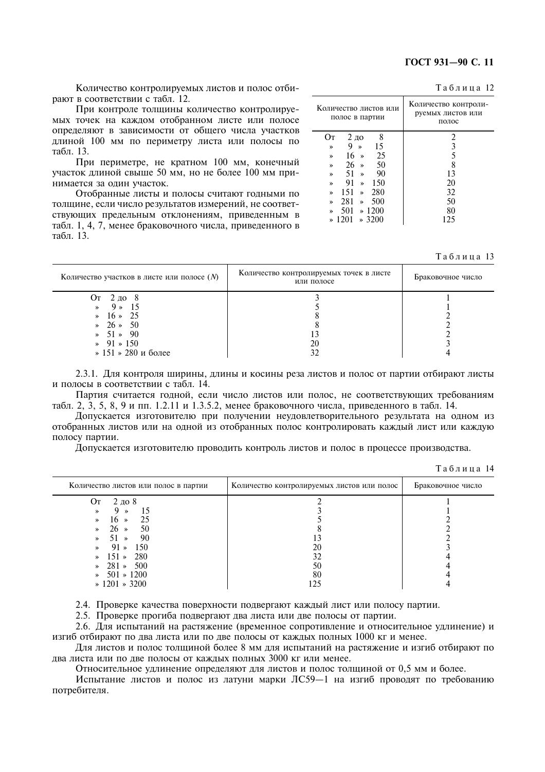Таблица 12

Количество контролируемых листов и полос отбирают в соответствии с табл. 12.

При контроле толщины количество контролируемых точек на каждом отобранном листе или полосе определяют в зависимости от общего числа участков длиной 100 мм по периметру листа или полосы по табл. 13.

При периметре, не кратном 100 мм, конечный участок длиной свыше 50 мм, но не более 100 мм принимается за олин участок.

Отобранные листы и полосы считают годными по толщине, если число результатов измерений, не соответствующих предельным отклонениям, приведенным в табл. 1, 4, 7, менее браковочного числа, приведенного в табл 13

| Количество листов или<br>полос в партии | Количество контроли-<br>руемых листов или<br>полос |
|-----------------------------------------|----------------------------------------------------|
| 8<br>$2\,\mathrm{no}$<br>Oт             | 2                                                  |
| 15<br>9<br>$\rightarrow$<br>≫           | 3                                                  |
| $16 \times$<br>25<br>»                  | 5                                                  |
| 50<br>26 »<br>≫                         | 8                                                  |
| - 90<br>$51 \times$<br>»                | 13                                                 |
| - 91<br>$\ast$ 150<br>≫                 | 20                                                 |
| $151 \times 280$<br>»                   | 32                                                 |
| $281 \times 500$<br>»                   | 50                                                 |
| $501 \times 1200$<br>$\lambda$          | 80                                                 |
| $* 1201 * 3200$                         | 125                                                |
|                                         |                                                    |

Таблина 13

| Количество участков в листе или полосе $(N)$ | Количество контролируемых точек в листе<br>или полосе | Браковочное число |
|----------------------------------------------|-------------------------------------------------------|-------------------|
| От 2 до 8                                    |                                                       |                   |
| $9*15$<br>$\rightarrow$                      |                                                       |                   |
| $16 * 25$<br>$\rightarrow$                   |                                                       |                   |
| $\ast$ 26 $\ast$ 50                          |                                                       |                   |
| $\ast$ 51 $\ast$ 90                          |                                                       |                   |
| $91 \times 150$                              | 20                                                    |                   |
| » 151 » 280 и более                          | 32                                                    |                   |

2.3.1. Для контроля ширины, длины и косины реза листов и полос от партии отбирают листы и полосы в соответствии с табл. 14.

Партия считается годной, если число листов или полос, не соответствующих требованиям табл. 2, 3, 5, 8, 9 и пп. 1.2.11 и 1.3.5.2, менее браковочного числа, приведенного в табл. 14.

Допускается изготовителю при получении неудовлетворительного результата на одном из отобранных листов или на одной из отобранных полос контролировать каждый лист или каждую полосу партии.

Лопускается изготовителю проводить контроль листов и полос в процессе производства.

| Количество листов или полос в партии | Количество контролируемых листов или полос | Браковочное число |
|--------------------------------------|--------------------------------------------|-------------------|
| $2 \text{ do } 8$<br>Oт              |                                            |                   |
| 15<br>»<br>$\rightarrow$             |                                            |                   |
| - 25<br>$16 \times$<br>»             |                                            |                   |
| 50<br>$26 \times$<br>»               |                                            |                   |
| -90<br>$51 \times$<br>»              |                                            |                   |
| $91 \times 150$<br>»                 | 20                                         |                   |
| $151 \times 280$<br>$\rightarrow$    | 32                                         |                   |
| $\ast$ 281 $\ast$ 500                | 50                                         |                   |
| $501 \times 1200$<br>$\rightarrow$   | 80                                         |                   |
| $\ast$ 1201 $\ast$ 3200              | 125                                        |                   |
|                                      |                                            |                   |

Таблина 14

2.4. Проверке качества поверхности подвергают каждый лист или полосу партии.

2.5. Проверке прогиба подвергают два листа или две полосы от партии.

2.6. Для испытаний на растяжение (временное сопротивление и относительное удлинение) и изгиб отбирают по два листа или по две полосы от каждых полных 1000 кг и менее.

Для листов и полос толшиной более 8 мм для испытаний на растяжение и изгиб отбирают по два листа или по две полосы от каждых полных 3000 кг или менее.

Относительное удлинение определяют для листов и полос толшиной от 0.5 мм и более.

Испытание листов и полос из латуни марки ЛС59-1 на изгиб проволят по требованию потребителя.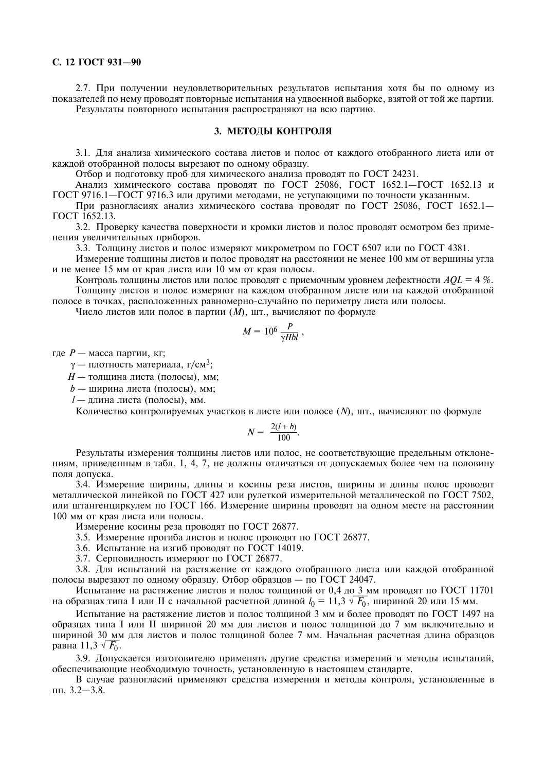2.7. При получении неудовлетворительных результатов испытания хотя бы по одному из показателей по нему проводят повторные испытания на удвоенной выборке, взятой от той же партии. Результаты повторного испытания распространяют на всю партию.

#### 3. МЕТОДЫ КОНТРОЛЯ

3.1. Для анализа химического состава листов и полос от каждого отобранного листа или от каждой отобранной полосы вырезают по одному образцу.

Отбор и подготовку проб для химического анализа проводят по ГОСТ 24231.

Анализ химического состава проводят по ГОСТ 25086, ГОСТ 1652.1-ГОСТ 1652.13 и ГОСТ 9716.1-ГОСТ 9716.3 или другими методами, не уступающими по точности указанным.

При разногласиях анализ химического состава проводят по ГОСТ 25086, ГОСТ 1652.1-ГОСТ 1652.13.

3.2. Проверку качества поверхности и кромки листов и полос проводят осмотром без применения увеличительных приборов.

3.3. Толщину листов и полос измеряют микрометром по ГОСТ 6507 или по ГОСТ 4381.

Измерение толщины листов и полос проводят на расстоянии не менее 100 мм от вершины угла и не менее 15 мм от края листа или 10 мм от края полосы.

Контроль толщины листов или полос проводят с приемочным уровнем дефектности  $AOL = 4\%$ . Толшину листов и полос измеряют на каждом отобранном листе или на каждой отобранной полосе в точках, расположенных равномерно-случайно по периметру листа или полосы.

Число листов или полос в партии (*M*), шт., вычисляют по формуле

$$
M = 10^6 \frac{P}{\gamma Hbl},
$$

гле  $P$  — масса партии. кг:

 $\gamma$  — плотность материала, г/см<sup>3</sup>;

H - толщина листа (полосы), мм;

 $b$  — ширина листа (полосы), мм:

*l* - длина листа (полосы), мм.

Количество контролируемых участков в листе или полосе (N), шт., вычисляют по формуле

$$
N = \frac{2(l+b)}{100}.
$$

Результаты измерения толщины листов или полос, не соответствующие предельным отклонениям, приведенным в табл. 1, 4, 7, не должны отличаться от допускаемых более чем на половину поля допуска.

3.4. Измерение ширины, длины и косины реза листов, ширины и длины полос проводят металлической линейкой по ГОСТ 427 или рулеткой измерительной металлической по ГОСТ 7502, или штангенциркулем по ГОСТ 166. Измерение ширины проводят на одном месте на расстоянии 100 мм от края листа или полосы.

Измерение косины реза проводят по ГОСТ 26877.

- 3.5. Измерение прогиба листов и полос проводят по ГОСТ 26877.
- 3.6. Испытание на изгиб проволят по ГОСТ 14019.
- 3.7. Серповидность измеряют по ГОСТ 26877.

3.8. Для испытаний на растяжение от каждого отобранного листа или каждой отобранной полосы вырезают по одному образцу. Отбор образцов - по ГОСТ 24047.

Испытание на растяжение листов и полос толщиной от 0,4 до 3 мм проводят по ГОСТ 11701 на образцах типа I или II с начальной расчетной длиной  $l_0 = 11.3 \sqrt{F_0}$ , шириной 20 или 15 мм.

Испытание на растяжение листов и полос толщиной 3 мм и более проводят по ГОСТ 1497 на образцах типа I или II шириной 20 мм для листов и полос толщиной до 7 мм включительно и шириной 30 мм для листов и полос толщиной более 7 мм. Начальная расчетная длина образцов равна 11,3  $\sqrt{F_0}$ .

3.9. Допускается изготовителю применять другие средства измерений и методы испытаний. обеспечивающие необхолимую точность, установленную в настоящем станларте.

В случае разногласий применяют средства измерения и методы контроля, установленные в  $\pi$ . 3.2-3.8.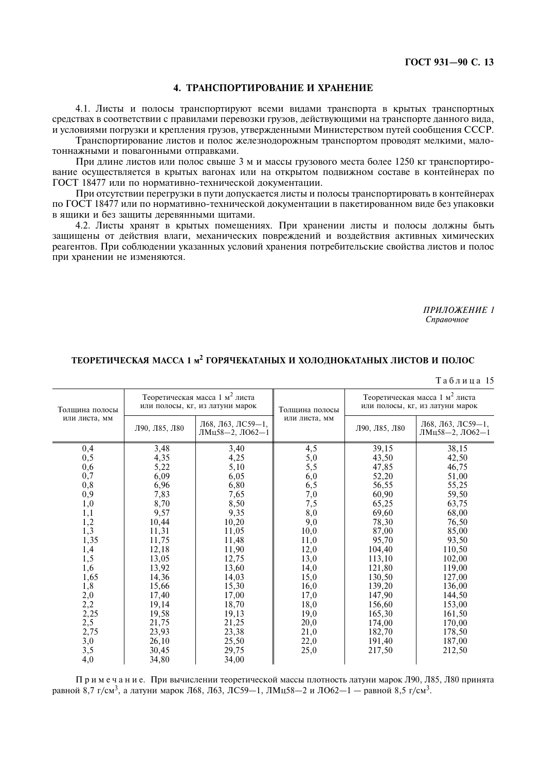#### 4. ТРАНСПОРТИРОВАНИЕ И ХРАНЕНИЕ

4.1. Листы и полосы транспортируют всеми видами транспорта в крытых транспортных средствах в соответствии с правилами перевозки грузов, действующими на транспорте данного вида, и условиями погрузки и крепления грузов, утвержденными Министерством путей сообщения СССР.

Транспортирование листов и полос железнодорожным транспортом проводят мелкими, малотоннажными и повагонными отправками.

При длине листов или полос свыше 3 м и массы грузового места более 1250 кг транспортирование осуществляется в крытых вагонах или на открытом подвижном составе в контейнерах по ГОСТ 18477 или по нормативно-технической локументации.

При отсутствии перегрузки в пути допускается листы и полосы транспортировать в контейнерах по ГОСТ 18477 или по нормативно-технической документации в пакетированном виде без упаковки в ящики и без защиты деревянными щитами.

4.2. Листы хранят в крытых помещениях. При хранении листы и полосы должны быть защищены от действия влаги, механических повреждений и воздействия активных химических реагентов. При соблюдении указанных условий хранения потребительские свойства листов и полос при хранении не изменяются.

> ПРИЛОЖЕНИЕ 1 Справочное

#### ТЕОРЕТИЧЕСКАЯ МАССА 1 м<sup>2</sup> ГОРЯЧЕКАТАНЫХ И ХОЛОЛНОКАТАНЫХ ЛИСТОВ И ПОЛОС

Таблина 15

| Толщина полосы |               | Теоретическая масса 1 м <sup>2</sup> листа<br>или полосы, кг, из латуни марок | Толщина полосы | Теоретическая масса 1 м <sup>2</sup> листа<br>или полосы, кг, из латуни марок |                                      |  |
|----------------|---------------|-------------------------------------------------------------------------------|----------------|-------------------------------------------------------------------------------|--------------------------------------|--|
| или листа, мм  | Л90, Л85, Л80 | Л68, Л63, ЛС59-1,<br>ЛМц58-2, ЛО62-1                                          | или листа, мм  | Л90, Л85, Л80                                                                 | Л68, Л63, ЛС59-1,<br>ЛМц58-2, ЛО62-1 |  |
| 0,4            | 3,48          | 3,40                                                                          | 4,5            | 39,15                                                                         | 38,15                                |  |
| 0, 5           | 4,35          | 4,25                                                                          |                | 43,50                                                                         | 42,50                                |  |
| 0,6            | 5,22          | 5,10                                                                          | $5,0$<br>$5,5$ | 47,85                                                                         | 46,75                                |  |
| 0,7            | 6,09          | 6,05                                                                          | 6,0            | 52,20                                                                         | 51,00                                |  |
| 0,8            | 6,96          | 6,80                                                                          | 6,5            | 56,55                                                                         | 55,25                                |  |
| 0,9            | 7,83          | 7,65                                                                          | 7,0            | 60,90                                                                         | 59,50                                |  |
| 1,0            | 8,70          | 8,50                                                                          | 7,5            | 65,25                                                                         | 63,75                                |  |
| 1,1            | 9,57          | 9,35                                                                          | 8,0            | 69,60                                                                         | 68,00                                |  |
| 1,2            | 10,44         | 10,20                                                                         | 9,0            | 78,30                                                                         | 76,50                                |  |
| 1,3            | 11,31         | 11,05                                                                         | 10,0           | 87,00                                                                         | 85,00                                |  |
| 1,35           | 11,75         | 11,48                                                                         | 11,0           | 95,70                                                                         | 93,50                                |  |
| $^{1,4}_{1,5}$ | 12,18         | 11,90                                                                         | 12,0           | 104,40                                                                        | 110,50                               |  |
|                | 13,05         | 12,75                                                                         | 13,0           | 113,10                                                                        | 102,00                               |  |
| 1,6            | 13,92         | 13,60                                                                         | 14,0           | 121,80                                                                        | 119,00                               |  |
| 1,65           | 14,36         | 14,03                                                                         | 15,0           | 130,50                                                                        | 127,00                               |  |
| 1,8            | 15,66         | 15,30                                                                         | 16,0           | 139,20                                                                        | 136,00                               |  |
| 2,0            | 17,40         | 17,00                                                                         | 17,0           | 147,90                                                                        | 144,50                               |  |
| 2,2            | 19,14         | 18,70                                                                         | 18,0           | 156,60                                                                        | 153,00                               |  |
| 2,25           | 19,58         | 19,13                                                                         | 19,0           | 165,30                                                                        | 161,50                               |  |
| 2,5            | 21,75         | 21,25                                                                         | 20,0           | 174,00                                                                        | 170,00                               |  |
| 2,75           | 23,93         | 23,38                                                                         | 21,0           | 182,70                                                                        | 178,50                               |  |
| 3,0            | 26,10         | 25,50                                                                         | 22,0           | 191,40                                                                        | 187,00                               |  |
| 3,5            | 30,45         | 29,75                                                                         | 25,0           | 217,50                                                                        | 212,50                               |  |
| 4,0            | 34,80         | 34,00                                                                         |                |                                                                               |                                      |  |

Примечание. При вычислении теоретической массы плотность латуни марок Л90, Л85, Л80 принята равной 8,7 г/см<sup>3</sup>, а латуни марок Л68, Л63, ЛС59-1, ЛМц58-2 и ЛО62-1 - равной 8,5 г/см<sup>3</sup>.